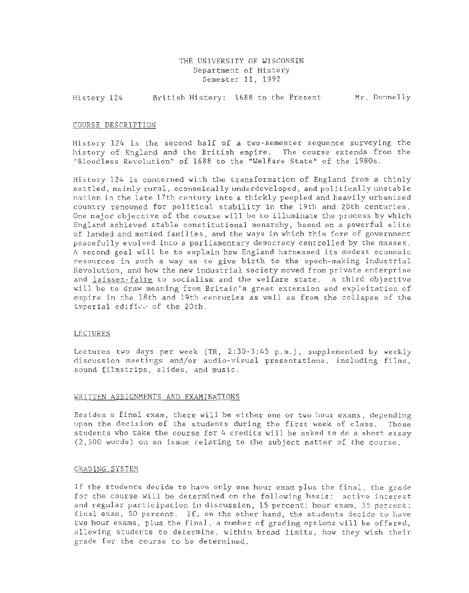### THE UNIVERSITY OF WISCONSIN Department of History Semester II, 1992

History 124 British History: 1688 to the Present Mr. Donnelly

#### COURSE DESCRIPTION

History 124 is the second half of a two-semester sequence surveying the history of England and the British empire. The course extends from the "Bloodless Revolution" of 1688 to the "Welfare State" of the 1980s.

History 124 is concerned with the transformation of England from a thinly settled, mainly rural, economically underdeveloped, and politically unstable nation in the late 17th century into a thickly peopled and heavily urbanized country renowned for political stability in the 19th and 20th centuries. One major objective of the course will be to illuminate the process by which England achieved stable constitutional monarchy, based on a powerful elite of landed and monied families, and the ways in which this form of government peacefully evolved into a parliamentary democracy controlled by the masses. A second goal will be to explain how England harnessed its modest economic resources in such a way as to give birth to the epoch-making Industrial Revolution, and how the new industrial society moved from private enterprise and laissez-faire to socialism and the welfare state. A third objective will be to draw meaning from Britain's great extension and exploitation of empire in the 18th and 19th centuries as well as from the collapse of the imperial edificy of the 20th.

#### LECTURES

Lectures two days per week (TR, 2:30-3:45 p.m.), supplemented by weekly discussion meetings and/or audio-visual presentations, including films, sound filmstrips, slides, and music.

### WRITTEN ASSIGNMENTS AND EXAMINATIONS

Besides a final exam, there will be either one or two hour exams, depending upon the decision of the students during the first week of class. Those students who take the course for 4 credits will be asked to do a short essay  $(2, 500$  words) on an issue relating to the subject matter of the course.

#### GRADING SYSTEM

If the students decide to have only one hour exam plus the final, the grade for the course will be determined on the following basis: active interest and regular participation in discussion, 15 percent; hour exam, 35 percent; final exam, 50 percent. If, on the other hand, the students decide to have two hour exams, plus the final, a number of grading options will be offered, allowing students to determine, within broad limits, how they wish their grade for the course to be determined.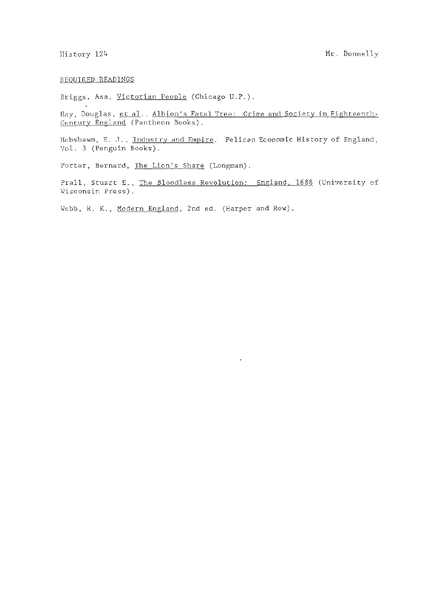### REQUIRED READINGS

Briggs, Asa, Victorian People (Chicago U.P.).

Hay, Douglas, et al., Albion's Fatal Tree: Crime and Society in Eighteenth-Century England (Pantheon Books).

Hobsbawm, E. J., Industry and Empire. Pelican Economic History of England, Vol. 3 (Penguin Books).

Porter, Bernard, The Lion's Share (Longman).

Prall, Stuart E., The Bloodless Revolution: England. 1688 (University of Wisconsin Press).

 $\overline{\phantom{a}}$ 

Webb, R. K., Modern England, 2nd ed. (Harper and Row).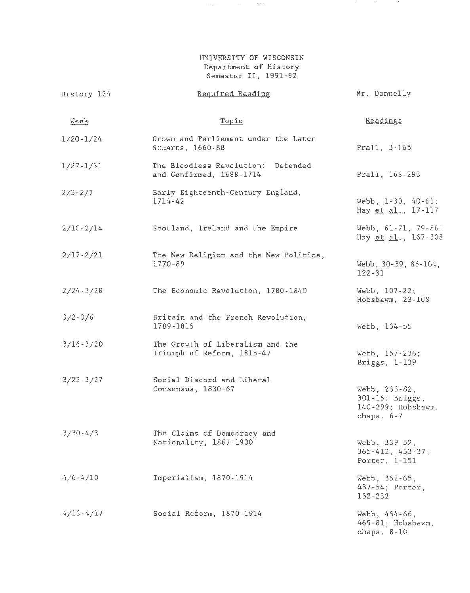# UNIVERSITY OF WISCONSIN Department of History Semester II, 1991-92

 $\sim$ 

**COLL** 

 $\sim 10$ 

 $\mathcal{A}(\mathcal{A},\mathcal{A})$  , and  $\mathcal{A}(\mathcal{A},\mathcal{A})$  , and  $\mathcal{A}(\mathcal{A},\mathcal{A})$ 

| History 124   | Required Reading                                                  | Mr. Donnelly                                                         |  |
|---------------|-------------------------------------------------------------------|----------------------------------------------------------------------|--|
| <u>Week</u>   | Topic                                                             | Readings                                                             |  |
| $1/20 - 1/24$ | Crown and Parliament under the Later<br>Stuarts, 1660-88          | Prall, 3-165                                                         |  |
| $1/27 - 1/31$ | The Bloodless Revolution:<br>Defended<br>and Confirmed, 1688-1714 | Prall, 166-293                                                       |  |
| $2/3 - 2/7$   | Early Eighteenth-Century England,<br>1714-42                      | Webb, $1-30$ , $40-61$ ;<br>Hay et al., 17-117                       |  |
| $2/10-2/14$   | Scotland, Ireland and the Empire                                  | Webb, $61-71$ , $79-86$ ;<br>Hay et al., $167 - 308$                 |  |
| $2/17 - 2/21$ | The New Religion and the New Politics,<br>$1770 - 89$             | Webb, 30-39, 86-164,<br>$122 - 31$                                   |  |
| $2/24 - 2/28$ | The Economic Revolution, 1780-1840                                | Webb, $107 - 22$ ;<br>Hobsbawm, 23-108                               |  |
| $3/2 - 3/6$   | Britain and the French Revolution,<br>1789-1815                   | Webb, 134-55                                                         |  |
| $3/16 - 3/20$ | The Growth of Liberalism and the<br>Triumph of Reform, 1815-47    | Webb, 157-236;<br>Briggs, 1-139                                      |  |
| $3/23 - 3/27$ | Social Discord and Liberal<br>Consensus, 1830-67                  | Webb, 236-82,<br>301-16; Briggs,<br>140-299; Hobsbawm,<br>chaps. 6-7 |  |
| $3/30 - 4/3$  | The Claims of Democracy and<br>Nationality, 1867-1900             | Webb, 339-52,<br>$365 - 412$ , $433 - 37$ ;<br>Porter, 1-151         |  |
| $4/6 - 4/10$  | Imperialism, 1870-1914                                            | Webb, 352-65,<br>437-54; Porter,<br>152-232                          |  |
| $4/13 - 4/17$ | Social Reform, 1870-1914                                          | Webb, 454-66.<br>469-81; Hobsbawm,<br>chaps. $8-10$                  |  |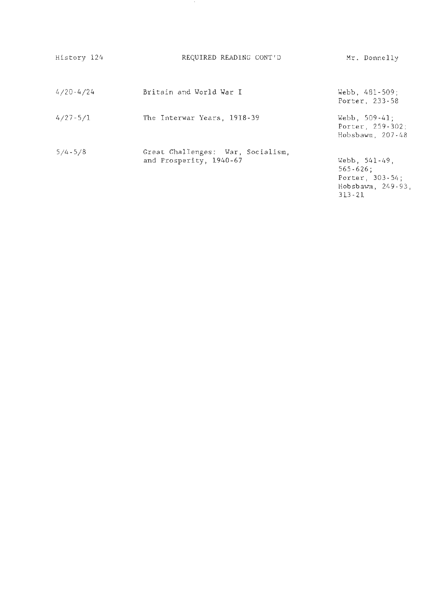| History 124   | REQUIRED READING CONT'D                                      | Mr. Donnelly                                                                                  |
|---------------|--------------------------------------------------------------|-----------------------------------------------------------------------------------------------|
| $4/20 - 4/24$ | Britain and World War I                                      | Webb, $481 - 509$ ;<br>Porter, 233-58                                                         |
| $4/27 - 5/1$  | The Interwar Years, 1918-39                                  | Webb, $509-41$ ;<br>Porter, 259-302;<br>Hobsbawm, 207-48                                      |
| $5/4 - 5/8$   | Great Challenges: War, Socialism,<br>and Prosperity, 1940-67 | Webb, $541-49$ ,<br>$565 - 626$ ;<br>Porter, 303-54;<br>$Hobsbawm$ , $249-93$ ,<br>$313 - 21$ |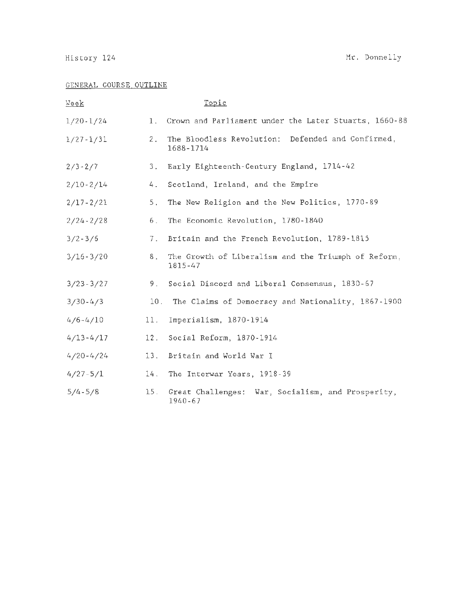# GENERAL COURSE OUTLINE

| <u>Week</u>   |     | Topic                                                          |
|---------------|-----|----------------------------------------------------------------|
| $1/20 - 1/24$ |     | 1. Crown and Parliament under the Later Stuarts, 1660-88       |
| $1/27 - 1/31$ | 2.  | The Bloodless Revolution: Defended and Confirmed,<br>1688-1714 |
| $2/3 - 2/7$   | 3.  | Early Eighteenth-Century England, 1714-42                      |
| $2/10 - 2/14$ | 4.  | Scotland, Ireland, and the Empire                              |
| $2/17 - 2/21$ | 5.  | The New Religion and the New Politics, 1770-89                 |
| $2/24 - 2/28$ | 6.  | The Economic Revolution, 1780-1840                             |
| $3/2 - 3/6$   | 7.  | Britain and the French Revolution, 1789-1815                   |
| $3/16 - 3/20$ | 8.  | The Growth of Liberalism and the Triumph of Reform,<br>1815-47 |
| $3/23 - 3/27$ | 9.  | Social Discord and Liberal Consensus, 1830-67                  |
| $3/30 - 4/3$  | 10. | The Claims of Democracy and Nationality, 1867-1900             |
| $4/6 - 4/10$  | 11. | Imperialism, 1870-1914                                         |
| $4/13 - 4/17$ | 12. | Social Reform, 1870-1914                                       |
| $4/20 - 4/24$ | 13. | Britain and World War I                                        |
| $4/27 - 5/1$  | 14. | The Interwar Years, 1918-39                                    |
| $5/4 - 5/8$   | 15. | Great Challenges: War, Socialism, and Prosperity,<br>1940-67   |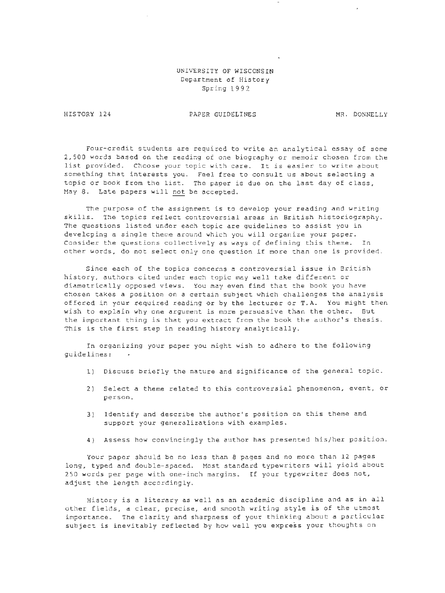## UNIVERSITY OF WISCONSIN Department of History Spring 1992

HISTORY 124

PAPER GUIDELINES MR. DONNELLY

Four-credit students are required to write an analytical essay of some 2,500 words based on the reading of one biography or memoir chosen from the list provided. Choose your topic with care. It is easier to write about something that interests you . Feel free to consult us about selecting a topic or book from the list. The paper is due on the last day of class, May 8. Late papers will not be accepted.

The purpose of the assignment is to develop your reading and writing skills. The topics reflect controversial areas in British historiography. The questions listed under each topic are guidelines to assist you in developing a single theme around which you will organize your paper. Consider the questions collectively as ways of defining this theme. In other words, do not select only one question if more than one is provided.

Since each of the topics concerns a controversial issue in British history, authors cited under each topic may well take different or diametrically opposed views. You may even find that the book you have chosen takes a position on a certain subject which challenges the analysis offered in your required reading or by the lecturer or T.A. You might then wish to explain why one argument is more persuasive than the other. But the important thing is that you extract from the book the author's thesis. This is the first step *in* reading history analytically.

In organizing your paper you might wish to adhere to the following guidelines:

- 1) Discuss briefly the nature and significance of the general topic.
- 2) Select a theme related to this controversial phenomenon, event, or person.
- 3) Identify and describe the author's position on this theme and support your generalizations with examples.
- 4) Assess how convincingly the author has presented his/her position.

Your paper should be no less than 8 pages and no more than 12 pages long, typed and double-spaced. Most standard typewriters will yield about 250 words per page with one-inch margins. If your typewriter does not, adjust the length accordingly.

History *is* a literary as well as an academic discipline and as in all other fields, a clear, precise, and smooth writing style is of the utmost importance. The clarity and sharpness of your thinking about a particular subject is inevitably reflected by how well you express your thoughts on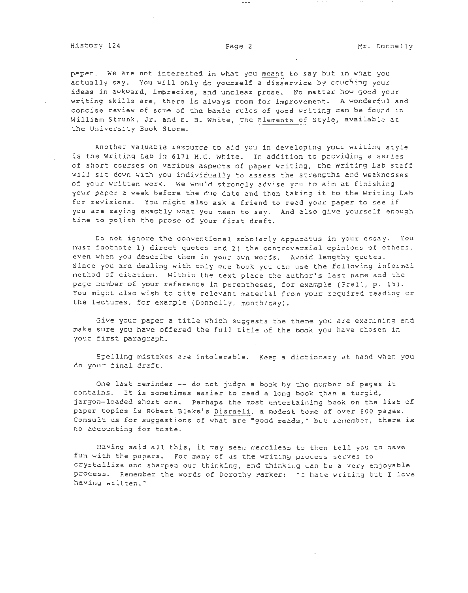paper. We are not interested in what you meant to say but in what you actually say. You will only do yourself a disservice by couching your ideas in awkward, imprecise, and unclear prose. No matter how good your writing skills are, there is always room for improvement. A wonderful and concise review of some of the basic rules of good writing can be found in William Strunk, Jr. and E. B. White, The Elements of Style, available at the University Book Store.

Another valuable resource to aid you in developing your writing style is the Writing Lab in 6171 H.C. White. In addition to providing a series of short courses on various aspects of paper writing, the Writing Lab staff will sit down with you individually to assess the strengths and weaknesses of your written work. We would strongly advise you to aim at finishing your paper a week before the due date and then taking it to the Writing Lab for revisions. You might also ask a friend to read your paper to see if you are saying exactly what you mean to say. And also give yourself enough time to polish the prose of your first draft.

Do not ignore the conventional scholarly apparatus in your essay. You must footnote 1) direct quotes and 2) the controversial opinions of others, even when you describe them in your own words. Avoid lengthy quotes. Since you are dealing with only one book you can use the following informal method of citation. Within the text place the author's last name and the page number of your reference in parentheses, for example (Prall, p. 15). You might also wish to cite relevant material from your required reading or the lectures, for example (Donnelly, month/day).

Give your paper a title which suggests the theme you are examining and make sure you have offered the full title of the book you have chosen in your first paragraph.

Spelling mistakes are intolerable. Keep a dictionary at hand when you do your final draft .

One last reminder -- do not judge a book by the number of pages it contains. It is sometimes easier to read a long book than a turgid, jargon-loaded short one. Perhaps the most entertaining book on the list of paper topics is Robert Blake's Disraeli, a modest tome of over 600 pages. Consult us for suggestions of what are "good reads," but remember, there is no accounting for taste.

Having said all this, it may seem merciless to then tell you to have fun with the papers. For many of us the writing process serves to crystallize and sharpen our thinking, and thinking can be a very enjoyable process. Remember the words of Dorothy Parker: "I hate writing but I love having written."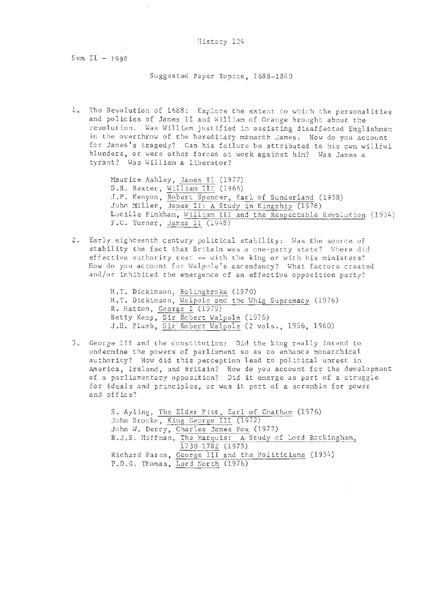Sem  $II - 1992$ 

Suggested Paper Topics, 1688-1840

1. The Revolution of 1688: Explore the extent to which the personalities and policies of James II and William of Orange brought about the revolution. Was William justified in assisting disaffected Englishmen in the overthrow of the hereditary monarch James: How do you account for James's tragedy? Can his failure be attributed to his own willful blunders, or were other forces at work against him? Was James a tyrant? Was William a liberator?

> Maurice Ashley, James II (1977) S.B. Baxter, William III (1966) J.P. Kenyon, Robert Spencer, Earl of Sunderland (1958) John Miller, James II: A Study in Kingship (1978) Lucille Pinkham, William III and the Respectable Revolution (1954) F.C. Turner, James II (1948)

2. Early eighteenth century political stability: Was the source of stability the fact that Britain was a one-party state? Where did effective authority rest -- with the king or with his ministers? How do you account for Walpole's ascendancy? What factors created and/or inhibited the emergence of an effective opposition party?

> H.T. Dickinson, Bolingbroke (1970) H.T. Dickinson, Walpole and the Whig Supremacy (1976) R. Hatton, George I (1979) Betty Kemp, Sir Robert Walpole (1976) J.H. Plumb, Sir Robert Halpole (2 vols., 1956, 1960)

3. George III and the constitution: Did the king really intend to undermine the powers of parliament so as to enhance monarchical authority? How did this perception lead to political unrest in America, Ireland, and Britain? How do you account for the development of a parliamentary opposition? Did it emerge as part of a struggle for ideals and principles, or was it part of a scramble for power and office?

> S. Ayling, The Elder Pitt, Earl of Chatham (1976) John Brooke, King George Ill (1972) John W. Derry, Charles James Fox (1972) R.J.S. Hoffman, The Marquis: A Study of Lord Rockingham, 1730-1782 (1975) Richard Pares, George III and the Politicians (1954) P.D.G. Thomas, Lord North (1976)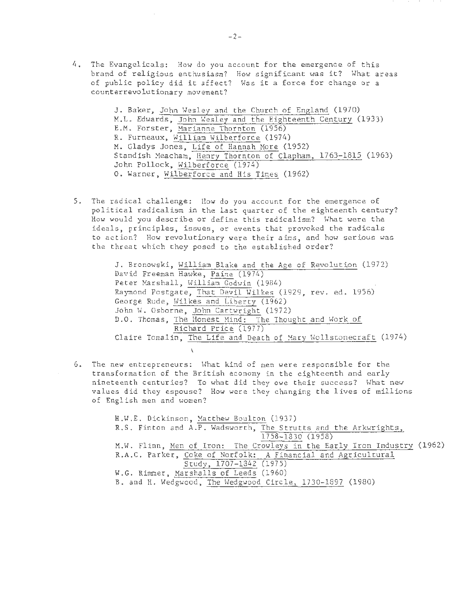4. The Evangelicals: How do you account for the emergence of this brand of religious enthusiasm? How significant was it? What areas of public policy did it affect? Was it a force for change or a counterrevolutionary movement?

> J. Baker, John Wesley and the Church of England (1970) M.L. Edwards, John Wesley and the Eighteenth Century (1933) E.M. Forster, Harianne Thornton (1956) R. Furneaux, William Wilberforce (1974) M. Gladys Jones, Life of Hannah More (1952) Standish Meacham, Henry Thornton of Clapham, 1763-1815 (1963) John Pollock, Wilberforce (1974) 0. Warner, Wilberforce and His Times (1962)

5. The radical challenge: How do you account for the emergence of political radicalism in the last quarter of the eighteenth century? How would you describe or define this radicalism? What were the ideals, principles, issues, or events that provoked the radicals to action? How revolutionary were their aims, and how serious was the threat which they posed to the established order?

> J. Bronowski, William Blake and the Age of Revolution (1972) David Freeman Hawke, Paine (1974) Peter Marshall, William Godwin (1984) Raymond Postgate, That Devil Wilkes (1929, rev. ed. 1956) George Rude, Wilkes and Liberty (1962) John W. Osborne, John Cartwright (1972) D.O. Thomas, The Honest Mind: The Thought and Work of Richard Price (1977) Claire Tomalin, The Life and Death of Mary Wollstonecraft (1974)  $\ddot{\mathbf{t}}$

6. The new entrepreneurs: What kind of men were responsible for the transformation of the British economy in the eighteenth and early nineteenth centuries? To what did they owe their success? What new values did they espouse? How were they changing the lives of millions of English men and women?

> H.W.E. Dickinson, Matthew Boulton (1937) R.S. Finton and A.P. Wadsworth, The Strutts and the Arkwrights, 1758-1830 (1958) M.W. Flinn , Men of Iron: The Crowleys in the Early Iron Industry (1962) R.A .C. Parker, Coke of Norfolk: A Financial and Agricultural Study, 1707-1342 (1975) W.G. Rimmer, Marshalls of Leeds (1960) B. and H. Wedgwood , The Wedgwood Circle, 1730-1897 (1980)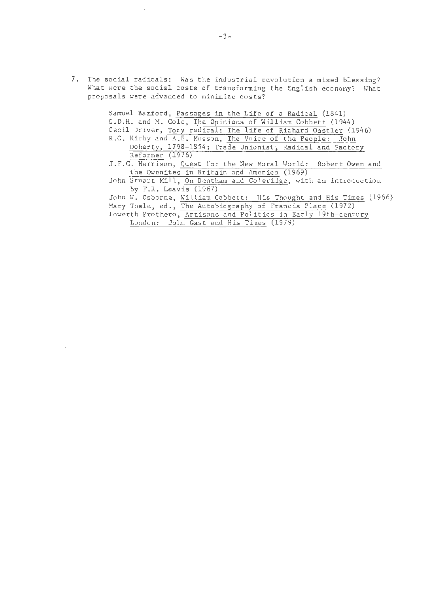7. The social radicals: Was the industrial revolution a mixed blessing? What were the social costs of transforming the English economy? What proposals were advanced to minimize costs?

> Samuel Bamford, Passages in the Life of a Radical (1841) G.D.H. and M. Cole, The Opinions of William Cobbett (1944) Cecil Driver, Tory radical: The life of Richard Oastler (1946) R.G. Kirby and A.E. Husson, The Voice of the People: John Doherty, 1798-1854: Trade Unionist; Radical and Factory Reformer (1976) J.F.C. Harrison, Quest for the New Horal World: Robert Owen and the Owenites in Britain and America (1969) John Stuart Mill, On Bentham and Coleridge, with an introduction by F.R. Leavis (1967) John W. Osborne, William Cobbett: His Thought and His Times (1966) Mary Thale, ed., The Autobiography of Francis Place (1972) Iowerth Prothero, Artisans and Politics in Early 19th-century London: John Gast and His Times (1979)

÷.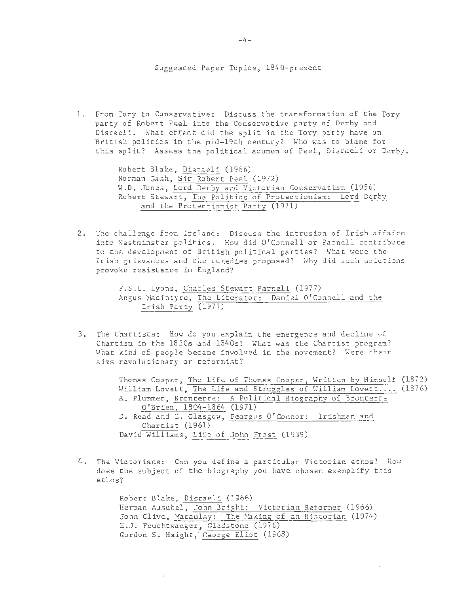### Suggested Paper Topics, 1840-present

1. From Tory to Conservative: Discuss the transformation of the Tory party of Robert Peel into the Conservative party of Derby and Disraeli . What effect did the split in the Tory party have on British politics in the mid-19th century? Who was to blame for this split? Assess the political acumen of Peel, Disraeli or Derby .

> Robert Blake, Disraeli (1966) Norman Gash, Sir Robert Peel (1972) W.D. Jones. Lord Derby and Victorian Conservatism (1956) Robert Stewart , The Politics of Protectionism: Lord Derby and the Protectionist Party (1971)

2. The challenge from Ireland: Discuss the intrusion of Irish affairs into Westminster politics. How did O'Connell or Parnell contribute to the development of British political parties? What were the Irish grievances and the remedies proposed? Why did such solutions provoke resistance in England?

> F.S.L. Lyons, Charles Stewart Parnell (1977) Angus Macintyre, The Liberator: Daniel O'Connell and the Irish Party (1977)

3. The Chartists: How do you explain the emergence and decline of Chartism in the 1830s and 1840s? What was the Chartist program? What kind of people became involved in the movement? Were their aims revolutionary or reformist?

> Thomas Cooper, The life of Thomas Cooper, Written by Himself (1872) William Lovett, The Life and Struggles of William Lovet.... (1876) A. Plummer, Bronterre: A Political Biography of Bronterre O' Brien, 1804-1864 (1971) D. Read and E. Glasgow, Feargus O'Connor: Irishman and Chartist (1961) David Williams, Life of John Frost (1939)

4. The Victorians: Can you define a particular Victorian ethos? How does the subject of the biography you have chosen exemplify this ethos?

> Robert Blake, Disraeli (1966) Herman Ausubel, John Bright: Victorian Reformer (1966) John Clive, Macaulay: The Making of an Historian (1974) E.J. Feuchtwanger, Gladstone (1976) Gordon S. Haight, George Eliot (1968)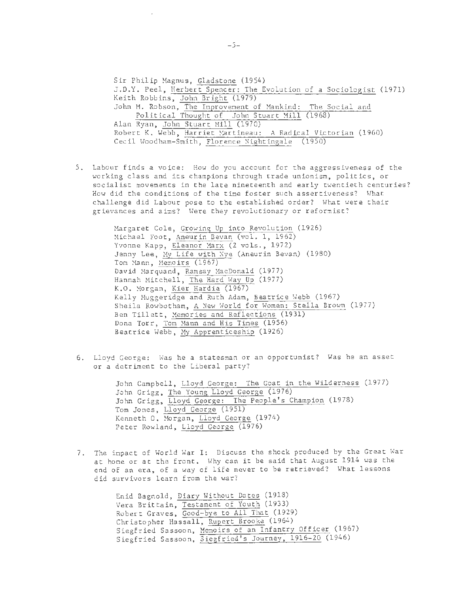Sir Philip Magnus, Gladstone (1954) J.D.Y. Peel, Herbert Spencer : The Evolution of a Sociologist (1971) Keith Robbins, John Bright (1979) John M. Robson, The Improvement of Mankind: The Social and Political Thought of John Stuart Mill (1968) Alan Ryan, John Stuart Mill (1970) Robert K. Webb, Harriet Martineau: A Radical Victorian (1960) Cecil Woodham-Smith, Florence Nightingale (1950)

5. Labour finds a voice: How do you account for the aggressiveness of the working class and its champions through trade unionism, politics, or socialist movements in the late nineteenth and early twentieth centuries? How did the conditions of the time foster such assertiveness? What challenge did Labour pose to the established order? What were their grievances and aims? Were they revolutionary or reformist?

> Margaret Cole, Growing Up into Revolution (1926) Michael Foot, Aneurin Bevan (vol. 1, 1962) Yvonne Kapp, Eleanor Marx (2 vols., 1972) Jenny Lee, Hy Life with Nye. (Aneurin Bevan) (1980) Tom Mann, Memoirs (1967) David Marquand, Ramsay MacDonald (1977) Hannah Mitchell, The Hard Way Up (1977) K.O. Morgan, Kier Hardie (1967) Kelly Muggeridge and Ruth Adam, Beatrice Webb (1967) Sheila Rowbotham, A New World for Women: Stella Brown (1977) Ben Tillett, Memories and Reflections (1931) Dona Torr, Tom Mann and His Times (1956) Beatrice Webb, My Apprenticeship (1926)

6. Lloyd George: Was he a statesman or an opportunist? Was he an asset or a detriment to the Liberal party?

> John Campbell, Lloyd George: The Goat in the Wilderness (1977) John Grigg, The Young Lloyd George (1976) John Grigg, Lloyd George: The People's Champion (1978) Tom Jones, Lloyd George (1951) Kenneth 0. Morgan, Lloyd George (1974) Peter Rowland, Lloyd George (1976)

7. The impact of World War I: Discuss the shock produced by the Great War at home or at the front. Why can it be said that August 1914 was the end of an era, of a way of life never to be retrieved? What lessons did survivors learn from the war?

> Enid Bagnold, Diary Without Dates (1918) Vera Brittain, Testament of Youth (1933) Robert Graves, Good-bye to All That (1929) Christopher Hassall, Rupert Brooke (1964) Siegfried Sassoon, Memoirs of an Infantry Officer (1967) Siegfried Sassoon, Siegfried's Journey, 1916-20 (1946)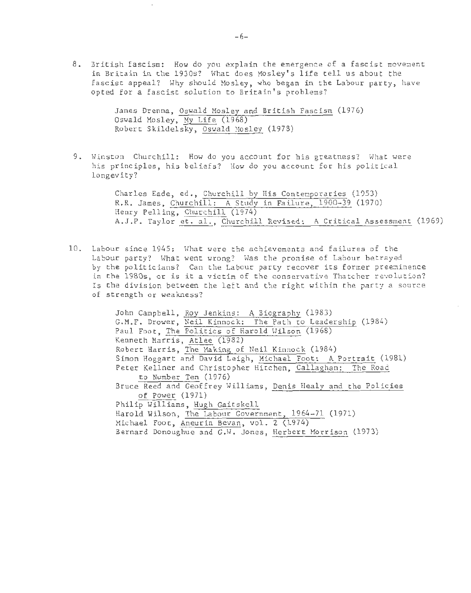8. British fascism: How do you explain the emergence of a fascist movement in Britain in the 1930s? What does Mosley's life tell us about the fascist appeal? Why should Mosley, who began in the Labour party, have opted for a fascist solution to Britain's problems?

> James Drenna, Oswald Mosley and British Fascism (1976) Oswald Mosley, My Life (1968) Robert Skildelsky, Oswald Mosley (1978)

9. Winston Churchill: How do you account for his greatness? What were his principles, his beliefs? How do you account for his political longevity?

> Charles Eade, ed., Churchill by His Contemporaries (1953) R.R. James, Churchill; A Study in Failure, 1900-39 (1970) Henry Pelling, Churchill (1974) A.J.P. Taylor et. al., Churchill Revised: A Critical Assessment (1969)

10. Labour since 1945: What were the achievements and failures of the Labour party? What went wrong? Was the promise of Labour betrayed by the politicians? Can the Labour party recover its former preeminence in the 1980s, or is it a victim of the conservative Thatcher revolution? Is the division between the left and the right within the party a source of strength or weakness?

> John Campbell, Roy Jenkins: A Biography (1983) G.M.F. Drower, Neil Kinnock: The Path to Leadership (1984) Paul Foot, The Politics of Harold Yilson (1968) Kenneth Harris, Atlee (1982) Robert Harris, The Making of Neil Kinnock (1984) Simon Hoggart and David Leigh , Michael Foot: A Portrait (1981) Peter Kellner and Christopher Hitchen, Callaghan: The Road to Number Ten (1976) Bruce Reed and Geoffrey Williams , Denis Healy and the Policies of Power (1971) Philip Williams, Hugh Gaitskell Harold Wilson, The Labour Government, 1964-71 (1971) Michael Foot, Aneurin Bevan, vol. 2 (1974) Bernard Donoughue and G.W. Jones, Herbert Morrison (1973)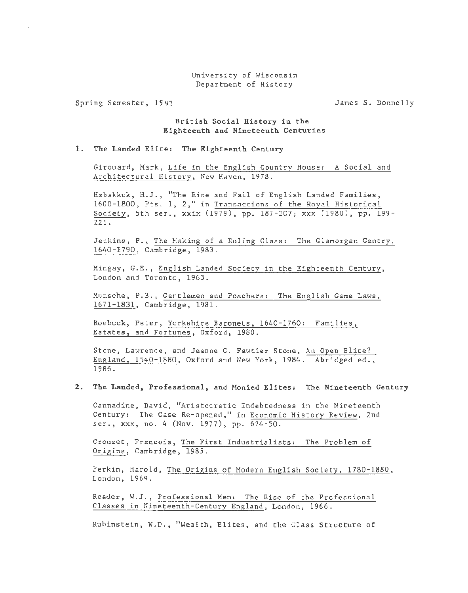### University of Wisconsin Department of History

Spring Semester, 1994,

James S. Donnelly

**British Social History in the Eighteenth and Nineteenth Centuries** 

### **1. The Landed Elite: The Eighteenth Century**

Girouard, Mark, Life in the English Country House: A Social and Architectural History, New Haven, 1978.

Habakkuk, H.J., "The Rise and Fall of English Landed Families, 1600-1800, Pts. 1, 2," in Transactions of the Royal Historical Society, 5th ser., xxix (1979), pp. 187-207; xxx (1980), pp. 199- 221.

Jenkins, P., The Making of a Ruling Class: The Glamorgan Gentry, 1640-1790, Cambridge, 1983.

Mingay, G.E., English Landed Society in the Eighteenth Century, London and Toronto, 1963.

Munsche, P.B., Gentlemen and Poachers: The English Game Laws, 1671-1831, Cambridge, 1981.

Roebuck, Peter, Yorkshire Baronets, 1640-1760: Families, Estates, and Fortunes, Oxford, 1980.

Stone, Lawrence, and Jeanne C. Fawtier Stone, An Open Elite? England, 1540-1880, Oxford and New York, 1984. Abridged ed., 1986.

### **2 . The Landed, Professional, and Monied Elites: The Nineteenth Century**

Cannadine, David, "Aristocratic Indebtedness in the Nineteenth Century: The Case Re-opened," in Economic History Review, 2nd ser., xxx, no. 4 (Nov. 1977), pp. 624-50.

Crouzet, Francois, The First Industrialists: The Problem of Origins, Cambridge, 1985.

Perkin, Harold, The Origins of Modern English Society, 1780-1880, London, 1969.

Reader, W.J., Professional Men: The Rise of the Professional Classes in Nineteenth-Century England, London, 1966.

Rubinstein, W.D., "Wealth, Elites, and the Class Structure of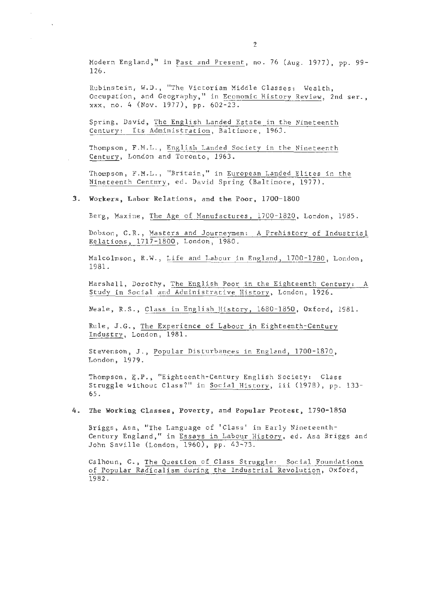Modern England," in Past and Present, no. 76 (Aug. 1977), pp. 99-126.

Rubinstein, W.D., "The Victorian Middle Classes: Wealth, Occupation, and Geography," in Economic History Review, 2nd ser. , xxx, no . 4 (Nov. 1977), pp. 602-23.

Spring, David, The English Landed Estate in the Nineteenth Century: Its Administration, Baltimore, 1963.

Thompson, F.M.L., English Landed Society in the Nineteenth Century, London and Toronto, 1963.

Thompson, F .M.L . , "Britain," in European Landed Elites in the Nineteenth Century, ed. David Spring (Baltimore, 1977).

### 3. Workers, Labor Relations, and the Poor, 1700-1800

Berg, Maxine, The Age of Manufactures, 1700-1820, London, 1985.

Dobson, C.R. , Masters and Journeymen: A Prehistory of Industrial Relations, 1717-1800, London, 1980.

Malcolmson, R.W. , Life and Labour in England, 1700-1780, London, 1981.

Marshall, Dorothy, The English Poor in the Eighteenth Century: A Study in Social and Administrative History, London, 1926.

Neale, R.S., Class in English History, 1680-1850, Oxford, 1981 .

Rule, J.G., The Experience of Labour in Eighteenth-Century Industry, London, 1981 .

Stevenson, J., Popular Disturbances in England, 1700-1870, London, 1979.

Thompson, E.P., "Eighteenth-Century English Society: Class Struggle without Class?" in Social History, iii (1978), pp. 133-65.

4. The Working Classes, Poverty, and Popular Protest, 1790-1850

Briggs, Asa, "The Language of 'Class' in Early Nineteenth-Century England," in Essays in Labour History, ed. Asa Briggs and John Saville (London, 1960), pp. 43-73 .

Calhoun, C., The Question of Class Struggle: Social Foundations of Popular Radicalism during the Industrial Revolution, Oxford, 1982.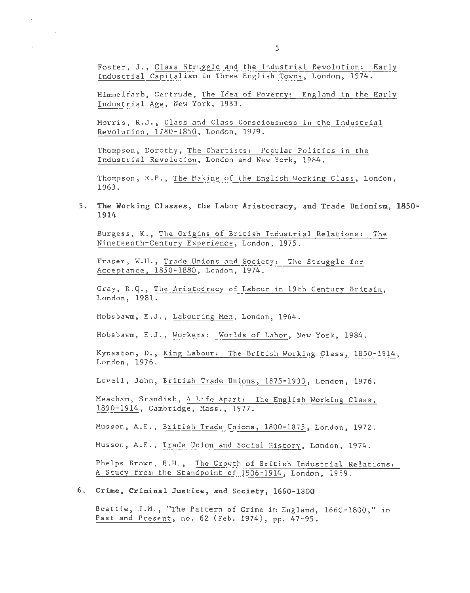Foster, J., Class Struggle and the Industrial Revolution: Early Industrial Capitalism in Three English Towns, London, 1974.

 $\sim$ 

÷

 $\mathcal{A}^{\pm}$ 

Himmelfarb, Gertrude, The Idea of Poverty: England in the Early Industrial Age, New York, 1983.

Morris, R.J., Class and Class Consciousness in the Industrial Revolution, 1780-1850, London, 1979.

Thompson, Dorothy, The Chartists: Popular Politics in the Industrial Revolution, London and New York, 1984.

Thompson, E.P., The Making of the English Working Class, London, 1963.

5. The Working Classes, the Labor Aristocracy, and Trade Unionism, 1850- 1914

Burgess, K., The Origins of British Industrial Relations: The Nineteenth-Century Experience, London, 1975.

Fraser, W.H., Trade Unions and Society: The Struggle for Acceptance, 1850-1880, London, 1974.

Gray, R.Q., The Aristocracy of Labour in 19th Century Britain, London, 1981.

Hobsbawm, E.J., Labouring Men, London, 1964.

Hobsbawu, E.J., Workers: Worlds of Labor, New York, 1984.

Kynaston, D., King Labour: The British Working Class, 1850-1914, London, 1976.

Lovell, John, British Trade Unions, 1875-1933, London, 1976.

Meacham, Standish, A Life Apart: The English Working Class, 1890-1914, Cambridge, Mass., 1977.

Musson, A.E., British Trade Unions, 1800-1875, London, 1972.

Musson, A.E., Trade Union and Social History, London, 1974.

Phelps Brown, E.H., The Growth of British Industrial Relations: A Study from the Standpoint of 1906-1914, London, 1959.

### 6. Crime, Criminal Justice, and Society, 1660-1800

Beattie, J.M., "The Pattern of Crime in England, 1660-1800," in Past and Present, no. 62 (Feb. 1974), pp. 47-95.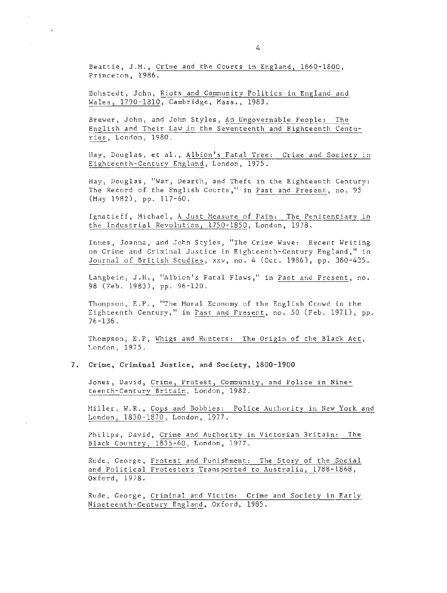Beattie, J.M., Crime and the Courts in England, 1660-1800, Princeton, 1986.

 $\mathbf{r}$ 

Bohstedt, John, Riots and Community Politics in England and Wales, 1790-1810, Cambridge, Mass., 1983.

Brewer, John, and John Styles, An Ungovernable People: The English and Their Law in the Seventeenth and Eighteenth Centuries, London, 1980.

Hay, Douglas, et al., Albion's Fatal Tree: Crime and Society in Eighteenth-Century England, London, 1975.

Hay, Douglas, "War, Dearth, and Theft in the Eighteenth Century: The Record of the English Courts," in Past and Present, no. 95 (May 1982), pp. 117-60.

Ignatieff, Michael, A Just Measure of Pain: The Penitentiary in the Industrial Revolution, 1750-1850, London, 1978.

Innes, Joanna, and John Styles, "The Crime Wave: Recent Writing on Crime and Criminal Justice in Eighteenth-Century England," in Journal of British Studies, xxv, no. 4 (Oct. 1986), pp. 380-435.

Langbein, J.H., "Albion's Fatal Flaws," in Past and Present, no. 98 (Feb. 1983), pp. 96-120.

Thompson, E.P., "The Moral Economy of the English Crowd in the Eighteenth Century," in Past and Present, no. 50 (Feb. 1971), pp. 76-136.

Thompson, E.P, Whigs and Hunters: The Origin of the Black Act, London, 1975.

#### **7. Crime, Criminal Justice, and Society, 1800-1900**

Jones, David, Crime, Protest, Community, and Police in Nineteenth-Century Britain, London, 1982.

Miller, W.R., Cops and Bobbies: Police Authority in New York and London, 1830-1870, London, 1977.

Philips, David, Crime and Authority in Victorian Britain: The Black Country, 1835-60, London, 1977.

Rude, George, Protest and Punishment: The Story of the Social and Political Protesters Transported to Australia, 1788-1868, Oxford, 1978.

Rude, George, Criminal and Victim: Crime and Society in Early Nineteenth-Century England, Oxford, 1985.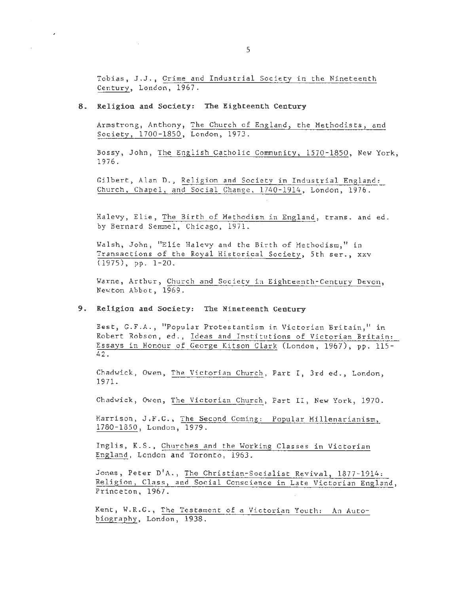Tobias, J.J., Crime and Industrial Society in the Nineteenth Century, London, 1967.

# **8. Religion and Society: The Eighteenth Century**

 $\sim 10^{-1}$ 

 $\sim$ 

t,

 $\sim$ 

Armstrong, Anthony, The Church of England, the Methodists, and Society, 1700-1850, London, 1973.

Bossy, John, The English Catholic Community, 1570-1850, New York, 1976.

Gilbert, Alan D., Religion and Society in Industrial England: Church, Chapel, and Social Change, 1740-1914, London, 1976.

Halevy, Elie, The Birth of Methodism in England, trans. and ed . by Bernard Semmel, Chicago, 1971.

Walsh, John, "Elie Halevy and the Birth of Methodism," in Transactions of the Royal Historical Society, 5th ser., xxv  $(1975)$ , pp.  $1-20$ .

Warne, Arthur, Church and Society in Eighteenth-Century Devon, Newton Abbot, 1969.

# **9. Religion and Society: The Nineteenth Century**

Best, G.F.A., "Popular Protestantism in Victorian Britain," in Robert Robson, ed., Ideas and Institutions of Victorian Britain: Essays in Honour of George Kitson Clark (London, 1967), pp. 115- 42.

Chadwick, Owen, The Victorian Church, Part I, 3rd ed., London, 1971.

Chadwick, Owen, The Victorian Church, Part II, New York, 1970.

Harrison, J.F.C., The Second Coming: Popular Mil1enarianism, 1780-1850, London, 1979.

Inglis, K.S., Churches and the Working Classes in Victorian England, London and Toronto, 1963.

Jones, Peter D'A., The Christian-Socialist Revival, 1877-1914: Religion, Class, and Social Conscience in Late Victorian England, Princeton, 1967.

Kent, W.R.G., The Testament of a Victorian Youth: An Autobiography, London, 1938.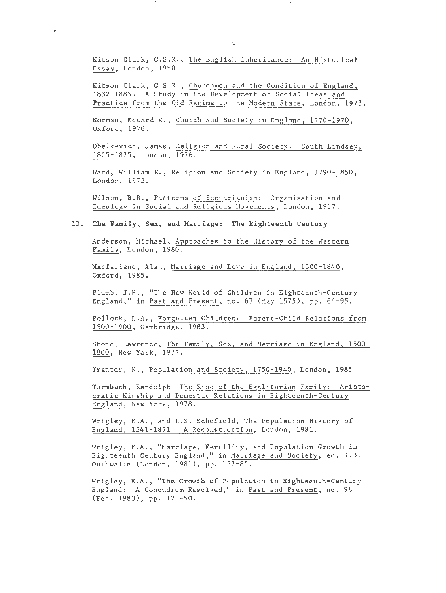Kitson Clark, G.S.R., The English Inheritance: An Historical Essay, London, 1950.

 $\sim$   $\sim$   $\sim$   $\sim$ 

 $\mathcal{A}$ 

Kitson Clark, G.S.R., Churchmen and the Condition of England, 1832-1885: A Study in the Development of Social Ideas and Practice from the Old Regime to the Modern State, London, 1973.

Norman, Edward R., Church and Society in England, 1770-1970, Oxford, 1976.

Obelkevich, James, Religion and Rural Society: South Lindsey, 1825-1875, London, 1976.

Ward, William R., Religion and Society in England, 1790-1850, London, 1972.

Wilson, B.R., Patterns of Sectarianism: Organisation and Ideology in Social and Religious Movements, London, 1967.

## 10. The Family, Sex, and Marriage: The Eighteenth Century

Anderson, Michael, Approaches to the History of the Western Family, London, 1980.

Macfarlane, Alan, Marriage and Love in England, 1300-1840, Oxford, 1985.

Plumb, J.H., "The New World of Children in Eighteenth-Century England," in Past and Present, no. 67 (May 1975), pp. 64-95.

Pollock, L.A., Forgotten Children: Parent-Child Relations from 1500-1900, Cambridge, 1983.

Stone, Lawrence, The Family, Sex, and Marriage in England, 1500- 1800, New York, 1977.

Tranter, N., Population and Society, 1750-1940, London, 1985.

Turmbach, Randolph, The Rise of the Egalitarian Family: Aristocratic Kinship and Domestic Relations in Eighteenth-Century England, New York, 1978.

Wrigley, E.A., and R.S. Schofield, The Population History of England, 1541-1871: A Reconstruction, London, 1981.

Wrigley, E.A., ''Marriage, Fertility, and Population Growth in Eighteenth-Century England," in Marriage and Society, ed. R.B. Outhwaite (London, 1981), pp. 137-85.

Wrigley, E.A., "The Growth of Population in Eighteenth-Century England: A Conundrum Resolved," in Past and Present, no. 98 (Feb. 1983), pp. 121-50.

 $\alpha$  ,  $\alpha$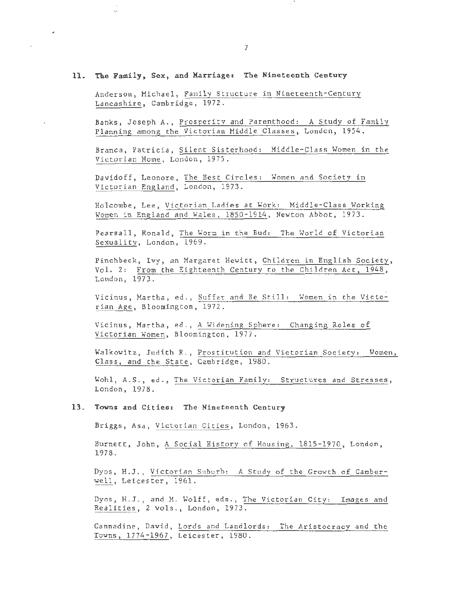### 11. The Family, Sex , and Marriage: The Nineteenth Century

!' ··

ų.

Anderson, Michael, Family Structure in Nineteenth-Century Lancashire, Cambridge, 1972.

Banks, Joseph A. , Prosperity and Parenthood: A Study of Family Planning among the Victorian Middle Classes, London, 1954.

Branca, Patricia, Silent Sisterhood: Middle-Class Women in the Victorian Home, London, 1975.

Davidoff, Leonore, The Best Circles: Women and Society in Victorian England, London, 1973.

Holcombe, Lee, Victorian Ladies at Work: Middle-Class Working Women in England and Wales, 1850-1914, Newton Abbot, 1973.

Pearsall, Ronald, The Worm in the Bud: The World of Victorian Sexuality, London, 1969.

Pinchbeck, Ivy, an Margaret Hewitt, Children in English Society, Vol. 2: From the Eighteenth Century to the Children Act, 1948, London, 1973.

Vicinus, Martha, ed., Suffer and Be Still: Women in the Victorian Age, Bloomington, 1972 .

Vicinus, Martha, ed., A Widening Sphere: Changing Roles of Victorian Women, Bloomington, 1977.

Walkowitz, Judith R., Prostitution and Victorian Society: Women, Class, and the State, Cambridge, 1980.

Wohl, A.S., ed., The Victorian Family: Structures and Stresses, London, 1978.

#### 13. Towns and Cities: The Nineteenth Century

Briggs, Asa, Victorian Cities, London, 1963.

Burnett, John, A Social History of Housing, 1815-1970, London, 1978.

Dyos, H.J., Victorian Suburb: A Study of the Growth of Camberwell, Leicester, 1961.

Dyos, H.J., and M. Wolff, eds., The Victorian City: Images and Realities, 2 vols., London, 1973.

Cannadine, David, Lords and Landlords: The Aristocracy and the Towns, 1774-1967, Leicester, 1980.